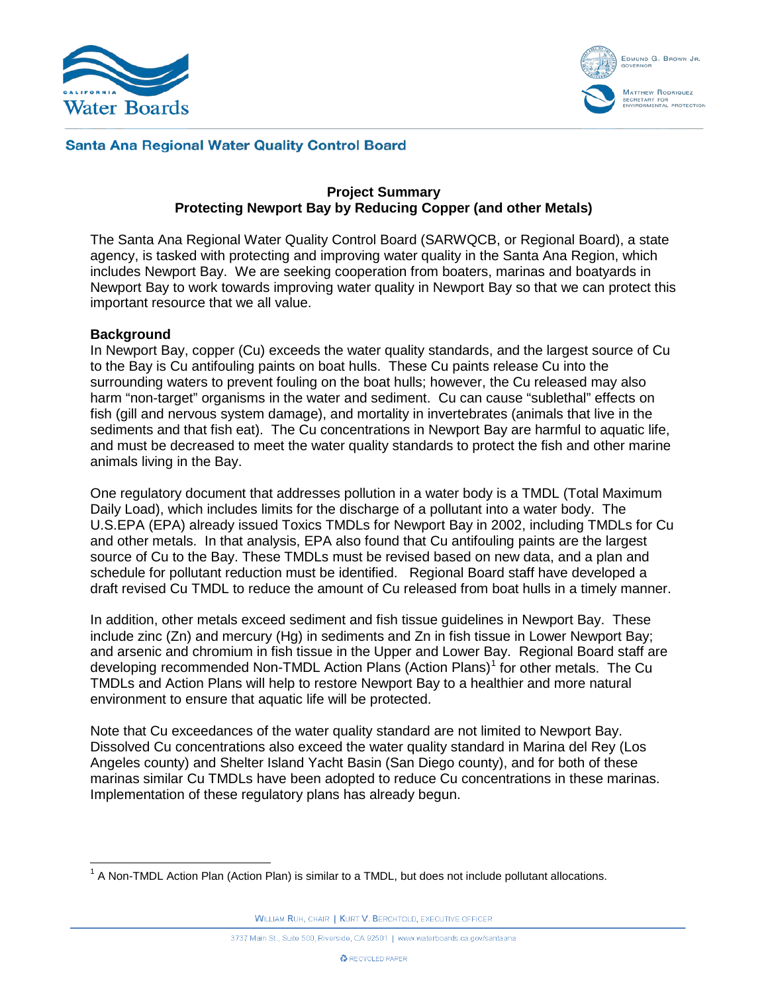



## **Santa Ana Regional Water Quality Control Board**

### **Project Summary Protecting Newport Bay by Reducing Copper (and other Metals)**

The Santa Ana Regional Water Quality Control Board (SARWQCB, or Regional Board), a state agency, is tasked with protecting and improving water quality in the Santa Ana Region, which includes Newport Bay. We are seeking cooperation from boaters, marinas and boatyards in Newport Bay to work towards improving water quality in Newport Bay so that we can protect this important resource that we all value.

#### **Background**

In Newport Bay, copper (Cu) exceeds the water quality standards, and the largest source of Cu to the Bay is Cu antifouling paints on boat hulls. These Cu paints release Cu into the surrounding waters to prevent fouling on the boat hulls; however, the Cu released may also harm "non-target" organisms in the water and sediment. Cu can cause "sublethal" effects on fish (gill and nervous system damage), and mortality in invertebrates (animals that live in the sediments and that fish eat). The Cu concentrations in Newport Bay are harmful to aquatic life, and must be decreased to meet the water quality standards to protect the fish and other marine animals living in the Bay.

One regulatory document that addresses pollution in a water body is a TMDL (Total Maximum Daily Load), which includes limits for the discharge of a pollutant into a water body. The U.S.EPA (EPA) already issued Toxics TMDLs for Newport Bay in 2002, including TMDLs for Cu and other metals. In that analysis, EPA also found that Cu antifouling paints are the largest source of Cu to the Bay. These TMDLs must be revised based on new data, and a plan and schedule for pollutant reduction must be identified. Regional Board staff have developed a draft revised Cu TMDL to reduce the amount of Cu released from boat hulls in a timely manner.

In addition, other metals exceed sediment and fish tissue guidelines in Newport Bay. These include zinc (Zn) and mercury (Hg) in sediments and Zn in fish tissue in Lower Newport Bay; and arsenic and chromium in fish tissue in the Upper and Lower Bay. Regional Board staff are developing recommended Non-TMDL Action Plans (Action Plans)<sup>[1](#page-0-0)</sup> for other metals. The Cu TMDLs and Action Plans will help to restore Newport Bay to a healthier and more natural environment to ensure that aquatic life will be protected.

Note that Cu exceedances of the water quality standard are not limited to Newport Bay. Dissolved Cu concentrations also exceed the water quality standard in Marina del Rey (Los Angeles county) and Shelter Island Yacht Basin (San Diego county), and for both of these marinas similar Cu TMDLs have been adopted to reduce Cu concentrations in these marinas. Implementation of these regulatory plans has already begun.

WILLIAM RUH, CHAIR | KURT V. BERCHTOLD, EXECUTIVE OFFICER

<span id="page-0-0"></span> $1$  A Non-TMDL Action Plan (Action Plan) is similar to a TMDL, but does not include pollutant allocations.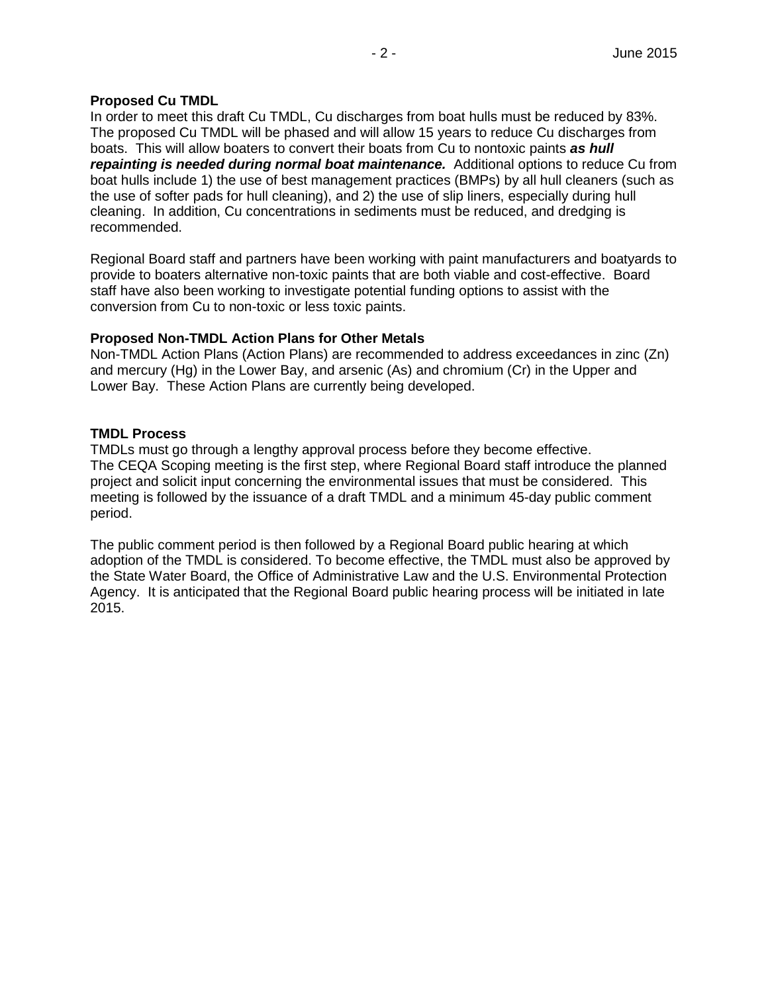## **Proposed Cu TMDL**

In order to meet this draft Cu TMDL, Cu discharges from boat hulls must be reduced by 83%. The proposed Cu TMDL will be phased and will allow 15 years to reduce Cu discharges from boats. This will allow boaters to convert their boats from Cu to nontoxic paints *as hull repainting is needed during normal boat maintenance.* Additional options to reduce Cu from boat hulls include 1) the use of best management practices (BMPs) by all hull cleaners (such as the use of softer pads for hull cleaning), and 2) the use of slip liners, especially during hull cleaning. In addition, Cu concentrations in sediments must be reduced, and dredging is recommended.

Regional Board staff and partners have been working with paint manufacturers and boatyards to provide to boaters alternative non-toxic paints that are both viable and cost-effective. Board staff have also been working to investigate potential funding options to assist with the conversion from Cu to non-toxic or less toxic paints.

### **Proposed Non-TMDL Action Plans for Other Metals**

Non-TMDL Action Plans (Action Plans) are recommended to address exceedances in zinc (Zn) and mercury (Hg) in the Lower Bay, and arsenic (As) and chromium (Cr) in the Upper and Lower Bay. These Action Plans are currently being developed.

## **TMDL Process**

TMDLs must go through a lengthy approval process before they become effective. The CEQA Scoping meeting is the first step, where Regional Board staff introduce the planned project and solicit input concerning the environmental issues that must be considered. This meeting is followed by the issuance of a draft TMDL and a minimum 45-day public comment period.

The public comment period is then followed by a Regional Board public hearing at which adoption of the TMDL is considered. To become effective, the TMDL must also be approved by the State Water Board, the Office of Administrative Law and the U.S. Environmental Protection Agency. It is anticipated that the Regional Board public hearing process will be initiated in late 2015.